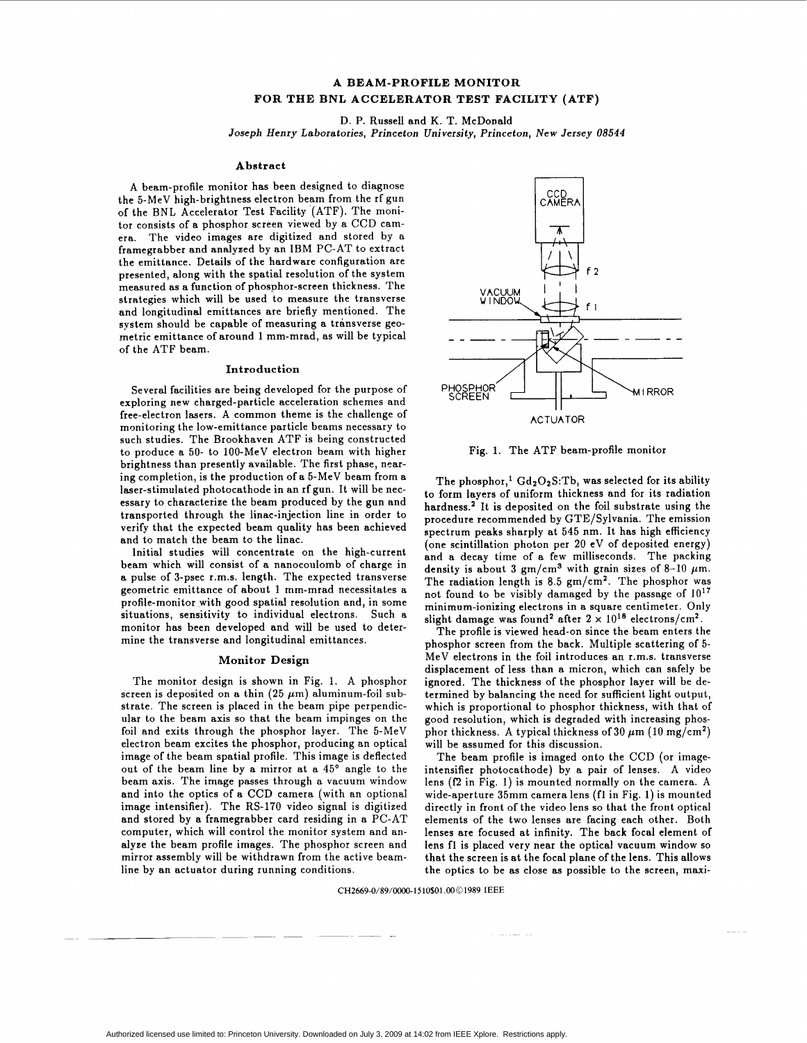# **A BEAM-PROFILE MONITOR FOR THE BNL ACCELERATOR TEST FACILITY (ATF)**

D. **P.** Russell and K. T. McDonald

Joseph Henry Laboratories, Princeton University, Princeton, New Jersey *U8544* 

#### **Abstract**

A beam-profile monitor has been designed to diagnose the 5-MeV high-brightness electron beam from the rf gun of the BNL Accelerator Test Facility (ATF). The monitor consists of a phosphor screen viewed by a CCD camera. The video images are digitized and stored by a framegrabber and analyzed by an IBM PC-AT to extract the emittance. Details of the hardware configuration are presented, along with the spatial resolution of the system measured as a function of phosphor-screen thickness. The strategies which will be used to measure the transverse and longitudinal emittances are briefly mentioned. The system should be capable of measuring a transverse geometric emittance of around 1 mm-mrad, as will be typical of the ATF beam.

### **Introduction**

Several facilities are being developed for the purpose of exploring new charged-particle acceleration schemes and free-electron lasers. A common theme is the challenge of monitoring the low-emittance particle beams necessary to such studies. The Brookhaven ATF is being constructed to produce a 50- to 100-MeV electron beam with higher brightness than presently available. The first phase, nearing completion, is the production of a 5-MeV beam from a laser-stimulated photocathode in an rf gun. It will be necessary to characterize the beam produced by the gun and transported through the linac-injection line in order to verify that the expected beam quality has been achieved and to match the beam to the linac.

Initial studies will concentrate on the high-current beam which will consist of a nanocoulomb of charge in a pulse of 3-psec r.m.s. length. The expected transverse geometric emittance of about **1** mm-mrad necessitates a profile-monitor with good spatial resolution and, in some situations, sensitivity to individual electrons. Such a monitor has been developed and will be used to determine the transverse and longitudinal emittances.

#### **Monitor Design**

The monitor design is shown in Fig. 1. A phosphor screen is deposited on a thin (25  $\mu$ m) aluminum-foil substrate. The screen is placed in the beam pipe perpendicular to the beam axis so that the beam impinges on the foil and exits through the phosphor layer. The 5-MeV electron beam excites the phosphor, producing an optical image of the beam spatial profile. This image is deflected out of the beam line by a mirror at a 45' angle to the beam axis. The image passes through a vacuum window and into the optics of a **CCD** camera (with an optional image intensifier). The RS-170 video signal is digitized and stored by a framegrabber card residing in a PC-AT computer, which will control the monitor system and analyze the beam profile images. The phosphor screen and mirror assembly will be withdrawn from the active beamline by an actuator during running conditions.



Fig. 1. The ATF beam-profile monitor

The phosphor,<sup>1</sup> Gd<sub>2</sub>O<sub>2</sub>S:Tb, was selected for its ability to form layers of uniform thickness and for its radiation hardness.<sup>2</sup> It is deposited on the foil substrate using the procedure recommended by GTE/Sylvania. The emission spectrum peaks sharply at 545 nm. It has high efficiency (one scintillation photon per 20 eV of deposited energy) and a decay time of a few milliseconds. The packing density is about 3  $gm/cm^3$  with grain sizes of 8-10  $\mu$ m. The radiation length is 8.5  $gm/cm<sup>2</sup>$ . The phosphor was not found to be visibly damaged by the passage of  $10^{17}$ minimum-ionizing electrons in a square centimeter. Only slight damage was found<sup>2</sup> after  $2 \times 10^{18}$  electrons/cm<sup>2</sup>.

The profile is viewed head-on since the beam enters the phosphor screen from the back. Multiple scattering of 5- MeV electrons in the foil introduces an r.m.s. transverse displacement of less than a micron, which can safely be ignored. The thickness of the phosphor layer will be determined by balancing the need for sufficient light output, which is proportional to phosphor thickness, with that of good resolution, which is degraded with increasing phosphor thickness. A typical thickness of 30  $\mu$ m (10 mg/cm<sup>2</sup>) will be assumed for this discussion.

The beam profile is imaged onto the CCD (or imageintensifier photocathode) by a pair of lenses. A video lens **(f2** in Fig. **I)** is mounted normally on the camera. A wide-aperture 35mm camera lens (f1 in Fig. 1) is mounted directly in front of the video lens so that the front optical elements of the two lenses are facing each other. Both lenses are focused at infinity. The back focal element of lens fl is placed very near the optical vacuum window so that the screen is at the focal plane of the lens. This allows the optics to be as close as possible to the screen, maxi-

**CH2669-08890000--1510\$01** *,000* **1989 IEEE** 

~~-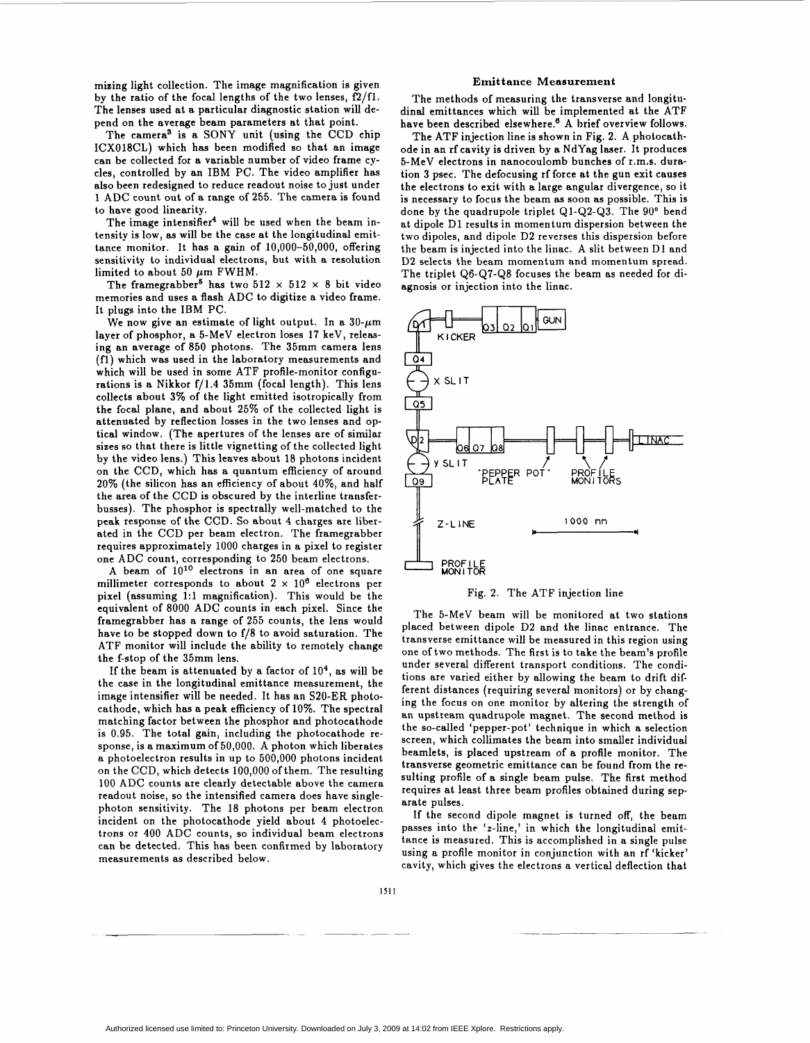mizing light collection. The image magnification is given by the ratio of the focal lengths of the two lenses, f2/fl. The lenses used at a particular diagnostic station will depend on the average beam parameters at that point.

The camera<sup>3</sup> is a SONY unit (using the CCD chip ICXO18CL) which has been modified so that an image can be collected for a variable number of video frame cycles, controlled by an IBM PC. The video amplifier has also been redesigned to reduce readout noise to just under 1 ADC count out of a range of 255. The camera is found to have good linearity.

The image intensifier<sup>4</sup> will be used when the beam intensity is low, as will be the case at the longitudinal emittance monitor. It has a gain of  $10,000-50,000$ , offering sensitivity to individual electrons, but with a resolution limited to about 50  $\mu$ m FWHM.

The framegrabber<sup>5</sup> has two  $512 \times 512 \times 8$  bit video memories and uses a flash ADC to digitize a video frame. It plugs into the IBM PC.

We now give an estimate of light output. In a  $30$ - $\mu$ m layer of phosphor, a 5-MeV electron loses 17 keV, releasing an average of 850 photons. The 35mm camera lens **(fl)** which was used in the laboratory measurements and which will be used in some ATF profile-monitor configurations is a Nikkor  $f/1.4$  35mm (focal length). This lens collects about 3% of the light emitted isotropically from the focal plane, and about 25% of the collected light is attenuated by reflection losses in the two lenses and optical window. (The apertures of the lenses are of similar sizes so that there is little vignetting of the collected light by the video lens.) This leaves about 18 photons incident on the CCD, which has a quantum efficiency of around 20% (the silicon has an efficiency of about 40%, and half the area of the CCD is obscured by the interline transferbusses). The phosphor is spectrally well-matched to the peak response of the CCD. So about **4** charges are liberated in the CCD per beam electron. The framegrabber requires approximately 1000 charges in a pixel to register one ADC count, corresponding to 250 beam electrons.

A beam of  $10^{10}$  electrons in an area of one square millimeter corresponds to about  $2 \times 10^6$  electrons per pixel (assuming 1:l magnification). This would be the equivalent of 8000 ADC counts in each pixel. Since the framegrabber has a range of 255 counts, the lens would have to be stopped down to f/8 to avoid saturation. The ATF monitor will include the ability to remotely change the f-stop of the 35mm lens.

If the beam is attenuated by a factor of **lo4,** as will be the case in the longitudinal emittance measurement, the image intensifier will be needed. It has an S20-ER photocathode, which has a peak efficiency of 10%. The spectral matching factor between the phosphor and photocathode is 0.95. The total gain, including the photocathode response, is a maximum of 50,000. A photon which liberates a photoelectron results in up to 500,000 photons incident on the CCD, which detects 100,000 of them. The resulting 100 ADC counts are clearly detectable above the camera readout noise, so the intensified camera does have singlephoton sensitivity. The 18 photons per beam electron incident on the photocathode yield about **4** photoelectrons or 400 ADC counts, so individual beam electrons can be detected. This has been confirmed by laboratory measurements as described below.

#### **Emittance Measurement**

The methods of measuring the transverse and longitudinal emittances which will be implemented at the ATF have been described elsewhere.<sup>6</sup> A brief overview follows.

The ATF injection line is shown in Fig. 2. **A** photocathode in an rf cavity **is** driven by a NdYag laser. It produces 5-MeV electrons in nanocoulomb bunches of 1.m.s. duration 3 psec. The defocusing rf force at the gun exit causes the electrons to exit with a large angular divergence, so it is necessary to focus the beam as soon as possible. This is done by the quadrupole triplet Ql-Q2-Q3. The 90" bend at dipole D1 results in momentum dispersion between the two dipoles, and dipole D2 reverses this dispersion before the beam is injected into the linac. A slit between Dl and **D2** selects the beam momentum and momentum spread. The triplet Q6-Q7-Q8 focuses the beam as needed for diagnosis or injection into the linac.



Fig. **2.** The ATF injection line

The 5-MeV beam will be monitored at two stations placed between dipole **D2** and the linac entrance. The transverse emittance will be measured in this region using one of two methods. The first is to take the beam's profile under several different transport conditions. The conditions are varied either by allowing the beam to drift different distances (requiring several monitors) or by changing the focus on one monitor by altering the strength of an upstream quadrupole magnet. The second method is the so-called 'pepper-pot' technique in which a selection screen, which collimates the beam into smaller individual beamlets, is placed upstream of a profile monitor. The transverse geometric emittance can be found from the resulting profile of a single beam pulse. The first method requires at least three beam profiles obtained during separate pulses.

If the second dipole magnet is turned off, the beam passes into the ' $z$ -line,' in which the longitudinal emittance is measured. This is accomplished in a single pulse using a profile monitor in conjunction with an rf 'kicker' cavity, which gives the electrons a vertical deflection that